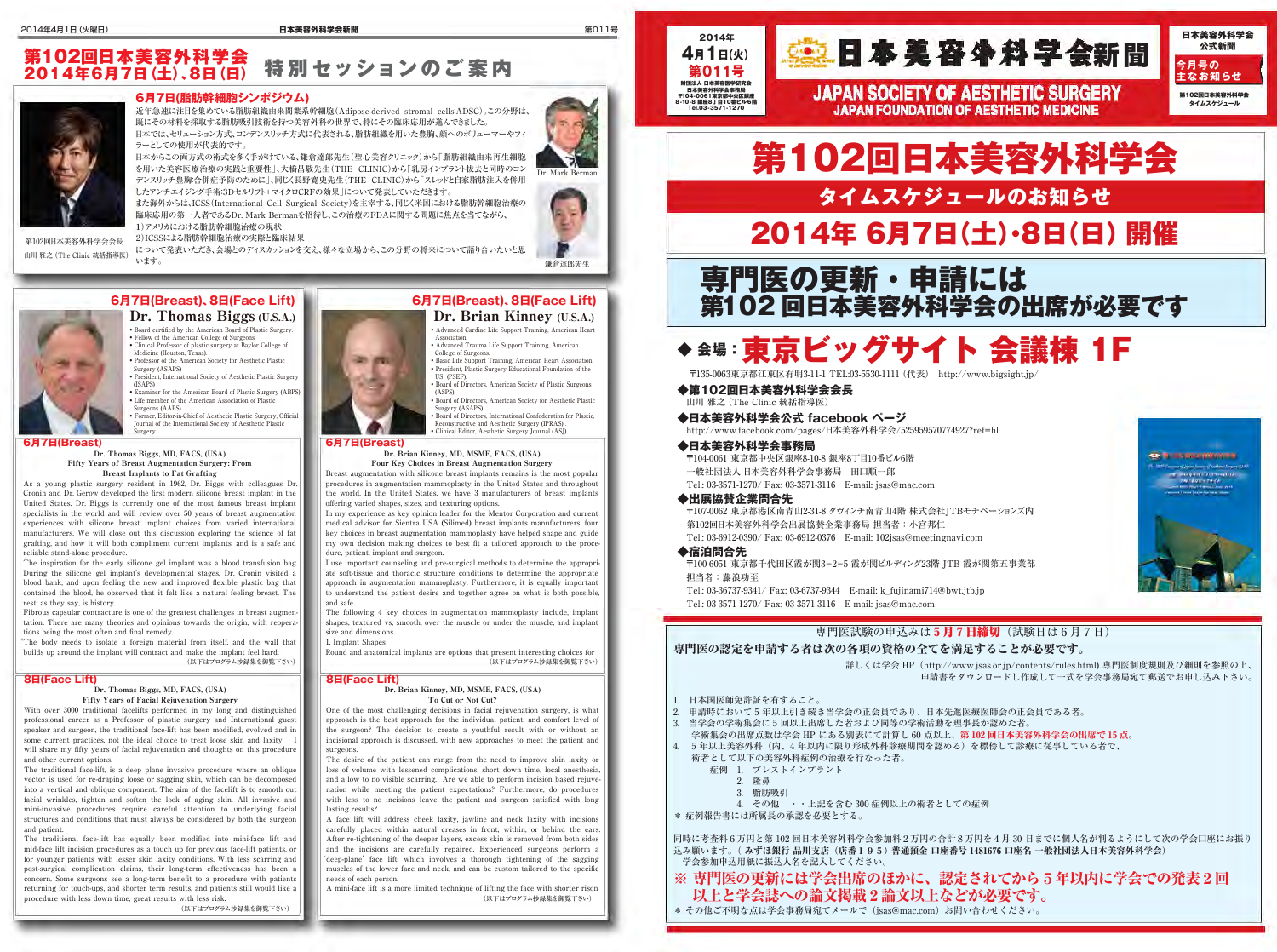**2014年**

**第011号** 財団法人 日本美容医学研究会 日本美容外科学会事務局 〒104-0061東京都中央区銀座 8-10-8 銀座8丁目10番ビル6階 Tel.03-3571-1270



詳しくは学会 HP (http://www.jsas.or.jp/contents/rules.html) 専門医制度規則及び細則を参照の上、 申請書をダウンロードし作成して一式を学会事務局宛て郵送でお申し込み下さい。



# 専門医の認定を申請する者は次の各項の資格の全てを満足することが必要です。

1. 日本国医師免許証を有すること。

• Advanced Cardiac Life Support Training, American Heart **Association** 

> 2. 申請時において 5 年以上引き続き当学会の正会員であり、日本先進医療医師会の正会員である者。 3. 当学会の学術集会に 5 回以上出席した者および同等の学術活動を理事長が認めた者。 学術集会の出席点数は学会 HP にある別表にて計算し 60 点以上、第 102 回日本美容外科学会の出席で 15 点。 4. 5 年以上美容外科(内、4 年以内に限り形成外科診療期間を認める)を標傍して診療に従事している者で、 術者として以下の美容外科症例の治療を行なった者。 症例 1. ブレストインプラント 2. 隆鼻 3. 脂肪吸引 4. その他 ・・上記を含む 300 症例以上の術者としての症例 \* 症例報告書には所属長の承認を必要とする。

同時に考査料6万円と第 102 回日本美容外科学会参加料2万円の合計8万円を4月 30 日までに個人名が判るようにして次の学会口座にお振り 込み願います。( みずほ銀行 品川支店(店番195) 普通預金 口座番号 1481676 口座名 一般社団法人日本美容外科学会) 学会参加申込用紙に振込人名を記入してください。

※ 専門医の更新には学会出席のほかに、認定されてから5年以内に学会での発表2回 以上と学会誌への論文掲載2論文以上などが必要です。

**CO. R. I GARDEN E SAN HIS** 09/400 - 75 (F)

\* その他ご不明な点は学会事務局宛てメールで (jsas@mac.com) お問い合わせください。

- Advanced Trauma Life Support Training, American
- College of Surgeons. • Basic Life Support Training, American Heart Association. • President, Plastic Surgery Educational Foundation of the
- US (PSEF). • Board of Directors, American Society of Plastic Surgeons
- (ASPS). • Board of Directors, American Society for Aesthetic Plastic Surgery (ASAPS).

• Board of Directors, International Confederation for Plastic, Reconstructive and Aesthetic Surgery (IPRAS) . • Clinical Editor, Aesthetic Surgery Journal (ASJ).

 Surgery (ASAPS) • President, International Society of Aesthetic Plastic Surgery (ISAPS)



# Dr. Brian Kinney (U.S.A.) **6月7日(Breast)、8日(Face Lift) 6月7日(Breast)、8日(Face Lift)**

• Examiner for the American Board of Plastic Surgery (ABPS) • Life member of the American Association of Plastic Surgeons (AAPS)

• Former, Editor-in-Chief of Aesthetic Plastic Surgery, Official Journal of the International Society of Aesthetic Plastic Surgery.

## **6月7日(Breast)**

The traditional face-lift, is a deep plane invasive procedure where an oblique vector is used for re-draping loose or sagging skin, which can be decomposed into a vertical and oblique component. The aim of the facelift is to smooth out facial wrinkles, tighten and soften the look of aging skin. All invasive and mini-invasive procedures require careful attention to underlying facial structures and conditions that must always be considered by both the surgeon and patient.

### Dr. Thomas Biggs, MD, FACS, (USA) Fifty Years of Breast Augmentation Surgery: From Breast Implants to Fat Grafting

The traditional face-lift has equally been modified into mini-face lift and mid-face lift incision procedures as a touch up for previous face-lift patients, or for younger patients with lesser skin laxity conditions. With less scarring and post-surgical complication claims, their long-term effectiveness has been a concern. Some surgeons see a long-term benefit to a procedure with patients returning for touch-ups, and shorter term results, and patients still would like a procedure with less down time, great results with less risk.

As a young plastic surgery resident in 1962, Dr. Biggs with colleagues Dr. Cronin and Dr. Gerow developed the first modern silicone breast implant in the United States. Dr. Biggs is currently one of the most famous breast implant specialists in the world and will review over 50 years of breast augmentation experiences with silicone breast implant choices from varied international manufacturers. We will close out this discussion exploring the science of fat grafting, and how it will both compliment current implants, and is a safe and reliable stand-alone procedure.

The inspiration for the early silicone gel implant was a blood transfusion bag. During the silicone gel implant's developmental stages, Dr. Cronin visited a blood bank, and upon feeling the new and improved flexible plastic bag that contained the blood, he observed that it felt like a natural feeling breast. The rest, as they say, is history.

Fibrous capsular contracture is one of the greatest challenges in breast augmentation. There are many theories and opinions towards the origin, with reoperations being the most often and final remedy.

> The desire of the patient can range from the need to improve skin laxity or loss of volume with lessened complications, short down time, local anesthesia, and a low to no visible scarring. Are we able to perform incision based rejuvenation while meeting the patient expectations? Furthermore, do procedures with less to no incisions leave the patient and surgeon satisfied with long lasting results?

"The body needs to isolate a foreign material from itself, and the wall that builds up around the implant will contract and make the implant feel hard. (以下はプログラム抄録集を御覧下さい)

## **8日(Face Lift)**

### Dr. Thomas Biggs, MD, FACS, (USA) Fifty Years of Facial Rejuvenation Surgery

With over 3000 traditional facelifts performed in my long and distinguished professional career as a Professor of plastic surgery and International guest speaker and surgeon, the traditional face-lift has been modified, evolved and in some current practices, not the ideal choice to treat loose skin and laxity. will share my fifty years of facial rejuvenation and thoughts on this procedure and other current options.

日本からこの両方式の術式を多く手がけている、鎌倉達郎先生(聖心美容クリニック)から「脂肪組織由来再生細胞 を用いた美容医療治療の実践と重要性」、大橋昌敬先生(THE CLINIC)から「乳房インプラント抜去と同時のコン デンスリッチ豊胸:合併症予防のために」、同じく長野寛史先生(THE CLINIC)から「スレッドと自家脂肪注入を併用 したアンチエイジング手術:3Dセルリフト+マイクロCRFの効果」について発表していただきます。

## 特別セッションのご案内 第102回日本美容外科学会 2014年6月7日(土)、8日(日)

(以下はプログラム抄録集を御覧下さい)

## **6月7日(Breast)**

Dr. Brian Kinney, MD, MSME, FACS, (USA) Four Key Choices in Breast Augmentation Surgery

Breast augmentation with silicone breast implants remains is the most popular procedures in augmentation mammoplasty in the United States and throughout the world. In the United States, we have 3 manufacturers of breast implants offering varied shapes, sizes, and texturing options.

In my experience as key opinion leader for the Mentor Corporation and current medical advisor for Sientra USA (Silimed) breast implants manufacturers, four key choices in breast augmentation mammoplasty have helped shape and guide my own decision making choices to best fit a tailored approach to the procedure, patient, implant and surgeon.

I use important counseling and pre-surgical methods to determine the appropriate soft-tissue and thoracic structure conditions to determine the appropriate approach in augmentation mammoplasty. Furthermore, it is equally important to understand the patient desire and together agree on what is both possible, and safe.

The following 4 key choices in augmentation mammoplasty include, implant shapes, textured vs, smooth, over the muscle or under the muscle, and implant size and dimensions.

1. Implant Shapes

Round and anatomical implants are options that present interesting choices for (以下はプログラム抄録集を御覧下さい)

### **8日(Face Lift)**

Dr. Brian Kinney, MD, MSME, FACS, (USA) To Cut or Not Cut?

One of the most challenging decisions in facial rejuvenation surgery, is what approach is the best approach for the individual patient, and comfort level of the surgeon? The decision to create a youthful result with or without an incisional approach is discussed, with new approaches to meet the patient and surgeons.

A face lift will address cheek laxity, jawline and neck laxity with incisions carefully placed within natural creases in front, within, or behind the ears. After re-tightening of the deeper layers, excess skin is removed from both sides and the incisions are carefully repaired. Experienced surgeons perform a 'deep-plane' face lift, which involves a thorough tightening of the sagging muscles of the lower face and neck, and can be custom tailored to the specific needs of each person.

A mini-face lift is a more limited technique of lifting the face with shorter rison (以下はプログラム抄録集を御覧下さい)

4月1日(火) 第三日本美容外科字会新聞

**JAPAN SOCIETY OF AESTHETIC SURGERY JAPAN FOUNDATION OF AESTHETIC MEDICINE** 

# **6月7日(脂肪幹細胞シンポジウム)**

近年急速に注目を集めている脂肪組織由来間葉系幹細胞(Adipose-derived stromal cells:ADSC)。この分野は、 既にその材料を採取する脂肪吸引技術を持つ美容外科の世界で、特にその臨床応用が進んできました。 日本では、セリューション方式、コンデンスリッチ方式に代表される、脂肪組織を用いた豊胸、顔へのボリューマーやフィ

ラーとしての使用が代表的です。

また海外からは、ICSS(International Cell Surgical Society)を主宰する、同じく米国における脂肪幹細胞治療の 臨床応用の第一人者であるDr. Mark Bermanを招待し、この治療のFDAに関する問題に焦点を当てながら、 1)アメリカにおける脂肪幹細胞治療の現状

2)ICSSによる脂肪幹細胞治療の実際と臨床結果

について発表いただき、会場とのディスカッションを交え、様々な立場から、この分野の将来について語り合いたいと思 います。 第102回日本美容外科学会会長 山川 雅之(The Clinic 統括指導医)

鎌倉達郎先生





# **◆ 会場:**東京ビッグサイト 会議棟 1F

〒135-0063東京都江東区有明3-11-1 TEL:03-5530-1111(代表) http://www.bigsight.jp/

**◆第102回日本美容外科学会会長**

山川 雅之(The Clinic 統括指導医)

**◆日本美容外科学会公式 facebook ページ** http://www.facebook.com/pages/日本美容外科学会/525959570774927?ref=hl

## **◆日本美容外科学会事務局**

 〒104-0061 東京都中央区銀座8-10-8 銀座8丁目10番ビル6階 一般社団法人 日本美容外科学会事務局 田口順一郎 Tel.: 03-3571-1270/ Fax: 03-3571-3116 E-mail: jsas@mac.com

**◆出展協賛企業問合先**

 〒107-0062 東京都港区南青山2-31-8 ダヴィンチ南青山4階 株式会社JTBモチベーションズ内 第102回日本美容外科学会出展協賛企業事務局 担当者:小宮邦仁

Tel.: 03-6912-0390/ Fax: 03-6912-0376 E-mail: 102jsas@meetingnavi.com

〒100-6051 東京都千代田区霞が関3-2-5 霞が関ビルディング23階 JTB 霞が関第五事業部

# **◆宿泊問合先** 担当者:藤浪功至

 Tel.: 03-36737-9341/ Fax: 03-6737-9344 E-mail: k\_fujinami714@bwt.jtb.jp Tel.: 03-3571-1270/ Fax: 03-3571-3116 E-mail: jsas@mac.com

# 専門医試験の申込みは5月7日論切(試験日は6月7日)

専門医の更新・申請には 第102 回日本美容外科学会の出席が必要です